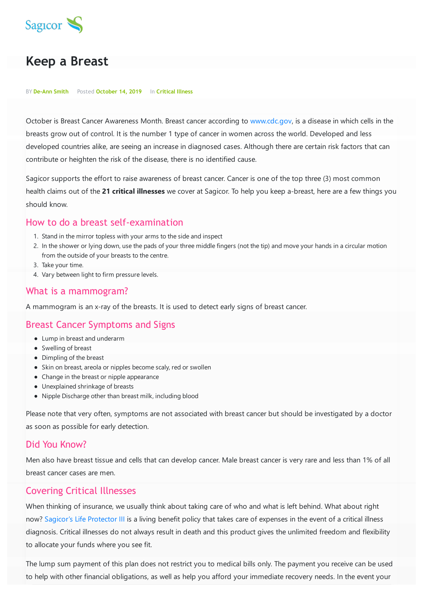

# **Keep a Breast**

#### BY **De-Ann Smith** Posted **October 14, 2019** In **Critical Illness**

October is Breast Cancer Awareness Month. Breast cancer according to [www.cdc.gov](http://www.cdc.gov), is a disease in which cells in the breasts grow out of control. It is the number 1 type of cancer in women across the world. Developed and less developed countries alike, are seeing an increase in diagnosed cases. Although there are certain risk factors that can contribute or heighten the risk of the disease, there is no identified cause.

Sagicor supports the effort to raise awareness of breast cancer. Cancer is one of the top three (3) most common health claims out of the **21 critical illnesses** we cover at Sagicor. To help you keep a-breast, here are a few things you should know.

# How to do a breast self-examination

- 1. Stand in the mirror topless with your arms to the side and inspect
- 2. In the shower or lying down, use the pads of your three middle fingers (not the tip) and move your hands in a circular motion from the outside of your breasts to the centre.
- 3. Take your time.
- 4. Vary between light to firm pressure levels.

### What is a mammogram?

A mammogram is an x-ray of the breasts. It is used to detect early signs of breast cancer.

# Breast Cancer Symptoms and Signs

- Lump in breast and underarm
- Swelling of breast
- Dimpling of the breast
- Skin on breast, areola or nipples become scaly, red or swollen
- Change in the breast or nipple appearance
- Unexplained shrinkage of breasts
- Nipple Discharge other than breast milk, including blood

Please note that very often, symptoms are not associated with breast cancer but should be investigated by a doctor as soon as possible for early detection.

# Did You Know?

Men also have breast tissue and cells that can develop cancer. Male breast cancer is very rare and less than 1% of all breast cancer cases are men.

# Covering Critical Illnesses

When thinking of insurance, we usually think about taking care of who and what is left behind. What about right now? Sagicor's Life [Protector](https://www.sagicor.com/en/Personal-Solutions/Insurance/Life-Insurance/Critical-Illness/Life-Protector-III) III is a living benefit policy that takes care of expenses in the event of a critical illness diagnosis. Critical illnesses do not always result in death and this product gives the unlimited freedom and flexibility to allocate your funds where you see fit.

The lump sum payment of this plan does not restrict you to medical bills only. The payment you receive can be used to help with other financial obligations, as well as help you afford your immediate recovery needs. In the event your